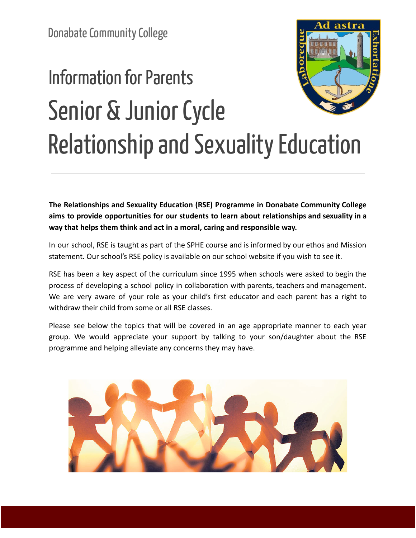## **Information for Parents** Senior & Junior Cycle Relationship and Sexuality Education

**The Relationships and Sexuality Education (RSE) Programme in Donabate Community College aims to provide opportunities for our students to learn about relationships and sexuality in a way that helps them think and act in a moral, caring and responsible way.**

In our school, RSE is taught as part of the SPHE course and is informed by our ethos and Mission statement. Our school's RSE policy is available on our school website if you wish to see it.

RSE has been a key aspect of the curriculum since 1995 when schools were asked to begin the process of developing a school policy in collaboration with parents, teachers and management. We are very aware of your role as your child's first educator and each parent has a right to withdraw their child from some or all RSE classes.

Please see below the topics that will be covered in an age appropriate manner to each year group. We would appreciate your support by talking to your son/daughter about the RSE programme and helping alleviate any concerns they may have.

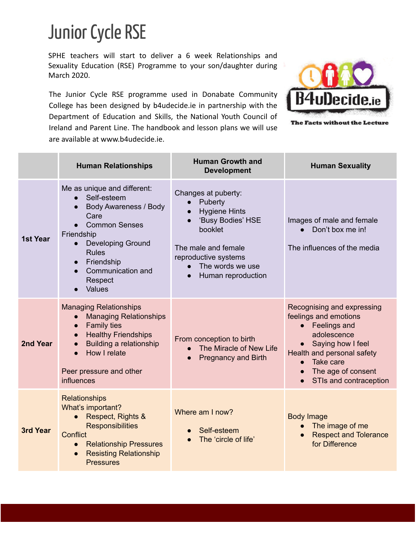## Junior Cycle RSE

SPHE teachers will start to deliver a 6 week Relationships and Sexuality Education (RSE) Programme to your son/daughter during March 2020.

The Junior Cycle RSE programme used in Donabate Community College has been designed by b4udecide.ie in partnership with the Department of Education and Skills, the National Youth Council of Ireland and Parent Line. The handbook and lesson plans we will use are available at www.b4udecide.ie.



The Facts without the Lecture

|          | <b>Human Relationships</b>                                                                                                                                                                                                                                                                    | <b>Human Growth and</b><br><b>Development</b>                                                                                                                                   | <b>Human Sexuality</b>                                                                                                                                                                             |
|----------|-----------------------------------------------------------------------------------------------------------------------------------------------------------------------------------------------------------------------------------------------------------------------------------------------|---------------------------------------------------------------------------------------------------------------------------------------------------------------------------------|----------------------------------------------------------------------------------------------------------------------------------------------------------------------------------------------------|
| 1st Year | Me as unique and different:<br>Self-esteem<br>$\bullet$<br>Body Awareness / Body<br>$\bullet$<br>Care<br><b>Common Senses</b><br>Friendship<br><b>Developing Ground</b><br>$\bullet$<br><b>Rules</b><br>Friendship<br>$\bullet$<br>Communication and<br>$\bullet$<br>Respect<br><b>Values</b> | Changes at puberty:<br>Puberty<br><b>Hygiene Hints</b><br>'Busy Bodies' HSE<br>booklet<br>The male and female<br>reproductive systems<br>The words we use<br>Human reproduction | Images of male and female<br>Don't box me in!<br>The influences of the media                                                                                                                       |
| 2nd Year | <b>Managing Relationships</b><br><b>Managing Relationships</b><br>$\bullet$<br><b>Family ties</b><br>$\bullet$<br><b>Healthy Friendships</b><br>$\bullet$<br>Building a relationship<br>$\bullet$<br>How I relate<br>$\bullet$<br>Peer pressure and other<br><b>influences</b>                | From conception to birth<br>The Miracle of New Life<br><b>Pregnancy and Birth</b>                                                                                               | Recognising and expressing<br>feelings and emotions<br>Feelings and<br>adolescence<br>Saying how I feel<br>Health and personal safety<br>Take care<br>The age of consent<br>STIs and contraception |
| 3rd Year | <b>Relationships</b><br>What's important?<br>Respect, Rights &<br><b>Responsibilities</b><br><b>Conflict</b><br><b>Relationship Pressures</b><br>$\bullet$<br><b>Resisting Relationship</b><br>$\bullet$<br><b>Pressures</b>                                                                  | Where am I now?<br>Self-esteem<br>The 'circle of life'                                                                                                                          | <b>Body Image</b><br>The image of me<br><b>Respect and Tolerance</b><br>for Difference                                                                                                             |